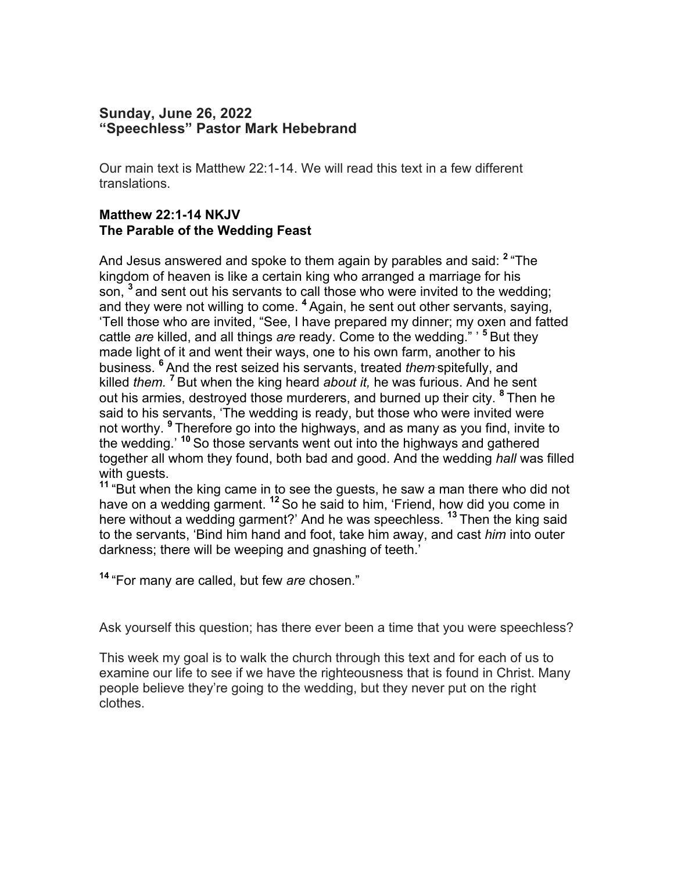# **Sunday, June 26, 2022 "Speechless" Pastor Mark Hebebrand**

Our main text is Matthew 22:1-14. We will read this text in a few different translations.

# **Matthew 22:1-14 NKJV The Parable of the Wedding Feast**

And Jesus answered and spoke to them again by parables and said: **<sup>2</sup>** "The kingdom of heaven is like a certain king who arranged a marriage for his son, **<sup>3</sup>** and sent out his servants to call those who were invited to the wedding; and they were not willing to come. **<sup>4</sup>** Again, he sent out other servants, saying, 'Tell those who are invited, "See, I have prepared my dinner; my oxen and fatted cattle *are* killed, and all things *are* ready. Come to the wedding." ' **<sup>5</sup>** But they made light of it and went their ways, one to his own farm, another to his business. **<sup>6</sup>** And the rest seized his servants, treated *them* spitefully, and killed *them.* **<sup>7</sup>** But when the king heard *about it,* he was furious. And he sent out his armies, destroyed those murderers, and burned up their city. **<sup>8</sup>** Then he said to his servants, 'The wedding is ready, but those who were invited were not worthy. **<sup>9</sup>** Therefore go into the highways, and as many as you find, invite to the wedding.' **<sup>10</sup>** So those servants went out into the highways and gathered together all whom they found, both bad and good. And the wedding *hall* was filled with quests.

**<sup>11</sup>** "But when the king came in to see the guests, he saw a man there who did not have on a wedding garment. **<sup>12</sup>** So he said to him, 'Friend, how did you come in here without a wedding garment?' And he was speechless. **<sup>13</sup>** Then the king said to the servants, 'Bind him hand and foot, take him away, and cast *him* into outer darkness; there will be weeping and gnashing of teeth.'

**<sup>14</sup>** "For many are called, but few *are* chosen."

Ask yourself this question; has there ever been a time that you were speechless?

This week my goal is to walk the church through this text and for each of us to examine our life to see if we have the righteousness that is found in Christ. Many people believe they're going to the wedding, but they never put on the right clothes.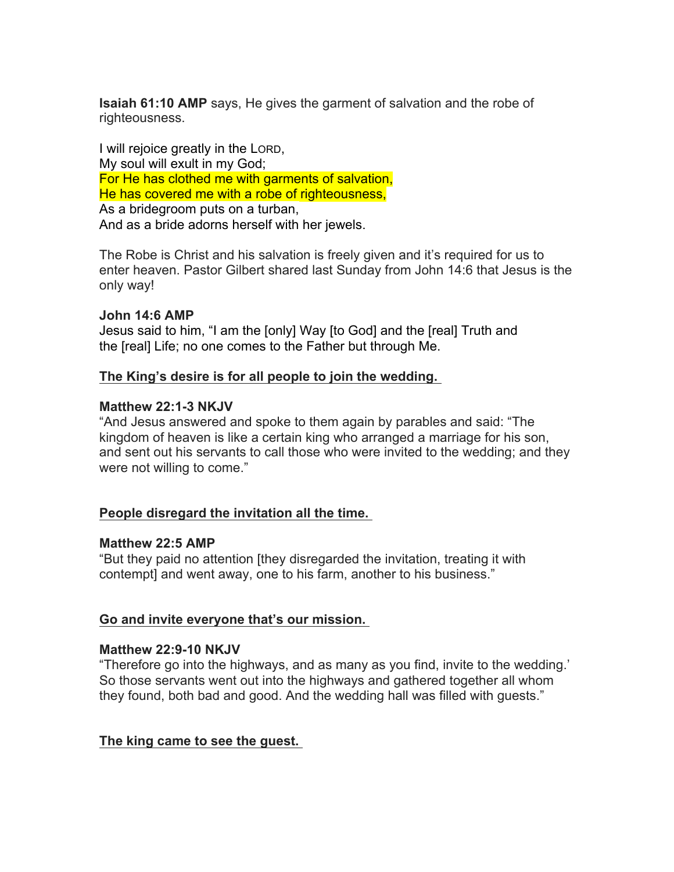**Isaiah 61:10 AMP** says, He gives the garment of salvation and the robe of righteousness.

I will rejoice greatly in the LORD, My soul will exult in my God; For He has clothed me with garments of salvation, He has covered me with a robe of righteousness, As a bridegroom puts on a turban, And as a bride adorns herself with her jewels.

The Robe is Christ and his salvation is freely given and it's required for us to enter heaven. Pastor Gilbert shared last Sunday from John 14:6 that Jesus is the only way!

## **John 14:6 AMP**

Jesus said to him, "I am the [only] Way [to God] and the [real] Truth and the [real] Life; no one comes to the Father but through Me.

## **The King's desire is for all people to join the wedding.**

## **Matthew 22:1-3 NKJV**

"And Jesus answered and spoke to them again by parables and said: "The kingdom of heaven is like a certain king who arranged a marriage for his son, and sent out his servants to call those who were invited to the wedding; and they were not willing to come."

## **People disregard the invitation all the time.**

### **Matthew 22:5 AMP**

"But they paid no attention [they disregarded the invitation, treating it with contempt] and went away, one to his farm, another to his business."

## **Go and invite everyone that's our mission.**

### **Matthew 22:9-10 NKJV**

"Therefore go into the highways, and as many as you find, invite to the wedding.' So those servants went out into the highways and gathered together all whom they found, both bad and good. And the wedding hall was filled with guests."

## **The king came to see the guest.**